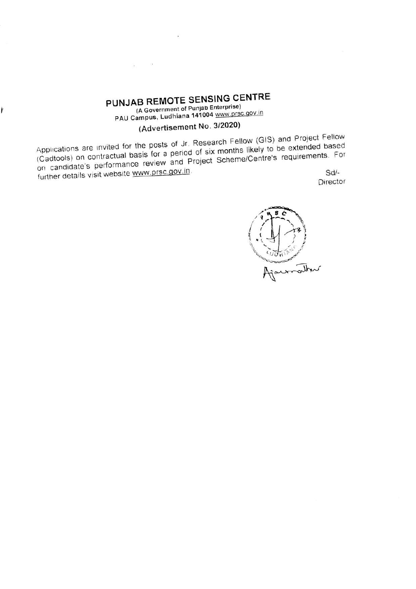# PUNJAB REMOTE SENSING CENTRE (A Government of Punjab Enterprise)

 $\mathbb{Z}^2$ 

 $\mathfrak{F}_0$ 

r

PAU Campus, Ludhiana 141004 www.prsc.gov.in

# (Advertisement No. 3/2020)

Applications are invited for the posts of Jr. Research Fellow (GIS) and Project Fellow (Cadtools) on contractual basis for a period of six months likely to be extended based on candidate's performance review and Project Scheme/Centre's requirements. For further details visit website www.prsc.gov.in.  $Sd/-$ 

Director

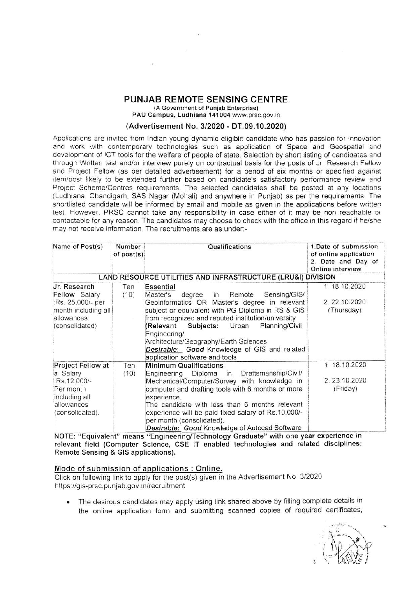#### PUNJAB REMOTE SENSING CENTRE

(A Government of Punjab Enterprise)

PAU Campus, Ludhiana 141004 www.prsc.gov.in

#### (Advertisement No. 3/2020 - DT.09.10.2020)

Applications are invited from Indian young dynamic eligible candidate who has passion for innovation and work with contemporary technologies such as application of Space and Geospatial and development of ICT tools for the welfare of people of state. Selection by short listing of candidates and through Written test and/or interview purely on contractual basis for the posts of Jr. Research Fellow and Project Fellow (as per detailed advertisement) for a period of six months or specified against item/post likely to be extended further based on candidate's satisfactory performance review and Project Scheme/Centres requirements. The selected candidates shall be posted at any locations (Ludhiana, Chandigarh, SAS Nagar (Mohali) and anywhere in Puniab) as per the requirements. The shortlisted candidate will be informed by email and mobile as given in the applications before written test. However, PRSC cannot take any responsibility in case either of it may be non reachable or contactable for any reason. The candidates may choose to check with the office in this regard if he/she may not receive information. The recruitments are as under:-

| Name of Post(s)<br>Number<br>of post(s)                                                                          |                                                             | Qualifications                                                                                                                                                                                                                                                                                                                                                                                                               | 1.Date of submission<br>of online application<br>2. Date and Day of<br>Online interview |
|------------------------------------------------------------------------------------------------------------------|-------------------------------------------------------------|------------------------------------------------------------------------------------------------------------------------------------------------------------------------------------------------------------------------------------------------------------------------------------------------------------------------------------------------------------------------------------------------------------------------------|-----------------------------------------------------------------------------------------|
|                                                                                                                  | LAND RESOURCE UTILITIES AND INFRASTRUCTURE (LRU&I) DIVISION |                                                                                                                                                                                                                                                                                                                                                                                                                              |                                                                                         |
| Jr. Research<br><b>Fellow</b> Salary<br>:Rs. 25,000/- per<br>month including all<br>allowances<br>(consolidated) | Ten<br>(10)                                                 | <b>Essential</b><br>Master's<br>Sensing/GIS/<br>degree in<br>Remote<br>Geoinformatics OR Master's degree in relevant<br>subject or equivalent with PG Diploma in RS & GIS<br>from recognized and reputed institution/university<br>Subjects: Urban<br>(Relevant<br>Planning/Civil<br>Engineering/<br>Architecture/Geography/Earth Sciences<br>Desirable: Good Knowledge of GIS and related<br>application software and tools | 1 18 10 2020<br>2 22 10 2020<br>(Thursday)                                              |
| Project Fellow at<br>a Salary<br>Rs.12.000/-<br>Per month<br>including all<br>allowances<br>(consolidated).      | Ten<br>(10)                                                 | <b>Minimum Qualifications</b><br>Engineering Diploma in Draftsmanship/Civil/<br>Mechanical/Computer/Survey with knowledge in<br>computer and drafting tools with 6 months or more<br>experience.<br>The candidate with less than 6 months relevant<br>experience will be paid fixed salary of Rs.10,000/-<br>per month (consolidated).<br>Desirable: Good Knowledge of Autocad Software                                      | 1 18.10.2020<br>2.23 10.2020<br>(Friday)                                                |

NOTE: "Equivalent" means "Engineering/Technology Graduate" with one year experience in relevant field (Computer Science, CSE IT enabled technologies and related disciplines; Remote Sensing & GIS applications).

#### Mode of submission of applications: Online.

Click on following link to apply for the post(s) given in the Advertisement No. 3/2020 https://gis-prsc.punjab.gov.in/recruitment

The desirous candidates may apply using link shared above by filling complete details in the online application form and submitting scanned copies of required certificates,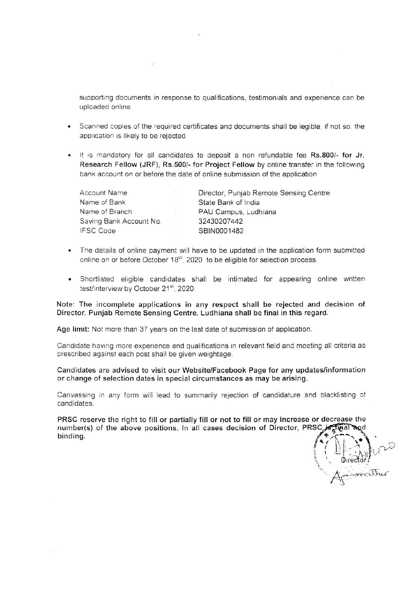supporting documents in response to qualifications, testimonials and experience can be uploaded online

ork.

- Scanned copies of the required certificates and documents shall be legible, if not so, the application is likely to be rejected.
- . It is mandatory for all candidates to deposit a non refundable fee Rs.800/- for Jr. Research Fellow (JRF), Rs.500/- for Project Fellow by online transfer in the following bank account on or before the date of online submission of the application

| <b>Account Name</b>     |     | Director, Punjab Remote Sensing Centre |
|-------------------------|-----|----------------------------------------|
| Name of Bank            |     | State Bank of India                    |
| Name of Branch          | -25 | PAU Campus, Ludhiana                   |
| Saving Bank Account No. |     | 32430207442                            |
| <b>IFSC Code</b>        |     | SBIN0001482                            |

- The details of online payment will have to be updated in the application form submitted online on or before October 18<sup>th</sup>, 2020 to be eligible for selection process.
- · Shortlisted eligible candidates shall be intimated for appearing online written test/interview by October 21<sup>st</sup>, 2020.

Note: The incomplete applications in any respect shall be rejected and decision of Director, Punjab Remote Sensing Centre, Ludhiana shall be final in this regard.

Age limit: Not more than 37 years on the last date of submission of application.

Candidate having more experience and qualifications in relevant field and meeting all criteria as prescribed against each post shall be given weightage.

Candidates are advised to visit our Website/Facebook Page for any updates/information or change of selection dates in special circumstances as may be arising.

Canvassing in any form will lead to summarily rejection of candidature and blacklisting of candidates.

PRSC reserve the right to fill or partially fill or not to fill or may increase or decrease the number(s) of the above positions. In all cases decision of Director, PRSC, is that and binding.

Director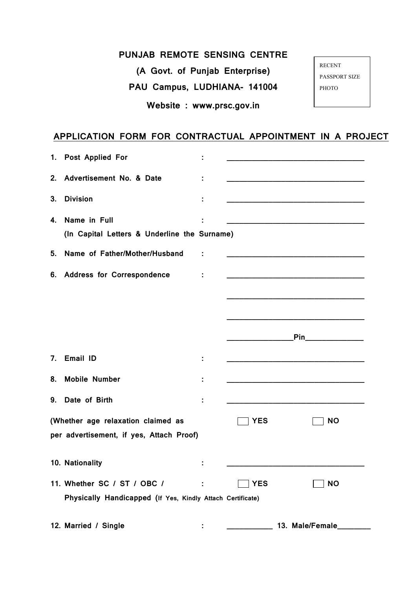## **PUNJAB REMOTE SENSING CENTRE**

**(A Govt. of Punjab Enterprise)**

**PAU Campus, LUDHIANA- 141004**

**Website : www.prsc.gov.in**

RECENT PASSPORT SIZE PHOTO

# **APPLICATION FORM FOR CONTRACTUAL APPOINTMENT IN A PROJECT**

|                | 1. Post Applied For                                                                       |            |                                                                                                                        |
|----------------|-------------------------------------------------------------------------------------------|------------|------------------------------------------------------------------------------------------------------------------------|
| 2.             | Advertisement No. & Date                                                                  |            | <u> 1980 - Johann Barn, mars ann an t-Amhain ann an t-Amhain an t-Amhain an t-Amhain an t-Amhain an t-Amhain an t-</u> |
| 3.             | <b>Division</b>                                                                           |            |                                                                                                                        |
| 4.             | Name in Full<br>(In Capital Letters & Underline the Surname)                              |            | <u> 1989 - Johann Barbara, martxa al III-lea (h. 1989).</u>                                                            |
| 5.             | Name of Father/Mother/Husband                                                             |            |                                                                                                                        |
| 6.             | <b>Address for Correspondence</b>                                                         |            | <u> 1989 - Johann John Stein, markin fan it ferstjer fan it ferstjer fan it ferstjer fan it ferstjer fan it fers</u>   |
|                |                                                                                           |            |                                                                                                                        |
|                |                                                                                           |            |                                                                                                                        |
|                |                                                                                           |            | <b>Pinaming Communications</b>                                                                                         |
| 7 <sub>1</sub> | Email ID                                                                                  |            |                                                                                                                        |
| 8.             | <b>Mobile Number</b>                                                                      |            |                                                                                                                        |
| 9.             | Date of Birth                                                                             |            |                                                                                                                        |
|                | (Whether age relaxation claimed as<br>per advertisement, if yes, Attach Proof)            | <b>YES</b> | <b>NO</b>                                                                                                              |
|                | 10. Nationality                                                                           |            |                                                                                                                        |
|                | 11. Whether SC / ST / OBC /<br>Physically Handicapped (If Yes, Kindly Attach Certificate) | <b>YES</b> | <b>NO</b>                                                                                                              |
|                | 12. Married / Single                                                                      |            | 13. Male/Female_                                                                                                       |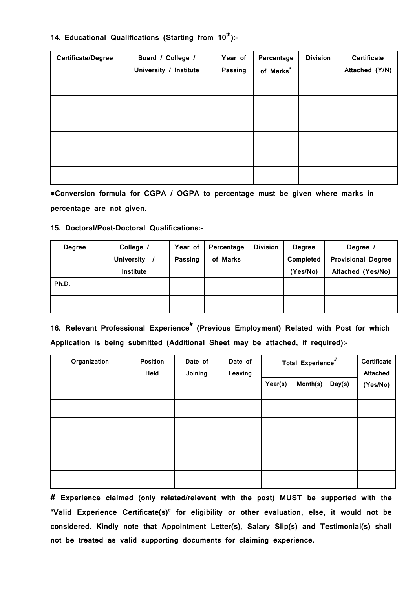### **14. Educational Qualifications (Starting from 10th):-**

| Certificate/Degree | Board / College /      | Year of | Percentage | <b>Division</b> | <b>Certificate</b> |
|--------------------|------------------------|---------|------------|-----------------|--------------------|
|                    | University / Institute | Passing | of Marks*  |                 | Attached (Y/N)     |
|                    |                        |         |            |                 |                    |
|                    |                        |         |            |                 |                    |
|                    |                        |         |            |                 |                    |
|                    |                        |         |            |                 |                    |
|                    |                        |         |            |                 |                    |
|                    |                        |         |            |                 |                    |

**\*Conversion formula for CGPA / OGPA to percentage must be given where marks in percentage are not given.**

### **15. Doctoral/Post-Doctoral Qualifications:-**

| <b>Degree</b> | College /         | Year of | Percentage | <b>Division</b> | <b>Degree</b> | Degree /                  |
|---------------|-------------------|---------|------------|-----------------|---------------|---------------------------|
|               | <b>University</b> | Passing | of Marks   |                 | Completed     | <b>Provisional Degree</b> |
|               | Institute         |         |            |                 | (Yes/No)      | Attached (Yes/No)         |
| Ph.D.         |                   |         |            |                 |               |                           |
|               |                   |         |            |                 |               |                           |
|               |                   |         |            |                 |               |                           |
|               |                   |         |            |                 |               |                           |

**16. Relevant Professional Experience# (Previous Employment) Related with Post for which Application is being submitted (Additional Sheet may be attached, if required):-**

| Organization | <b>Position</b><br>Held | Date of<br>Joining | Date of<br>Leaving | Total Experience <sup>#</sup> |          | Certificate<br><b>Attached</b> |          |  |
|--------------|-------------------------|--------------------|--------------------|-------------------------------|----------|--------------------------------|----------|--|
|              |                         |                    |                    | Year(s)                       | Month(s) | Day(s)                         | (Yes/No) |  |
|              |                         |                    |                    |                               |          |                                |          |  |
|              |                         |                    |                    |                               |          |                                |          |  |
|              |                         |                    |                    |                               |          |                                |          |  |
|              |                         |                    |                    |                               |          |                                |          |  |
|              |                         |                    |                    |                               |          |                                |          |  |

**# Experience claimed (only related/relevant with the post) MUST be supported with the "Valid Experience Certificate(s)" for eligibility or other evaluation, else, it would not be considered. Kindly note that Appointment Letter(s), Salary Slip(s) and Testimonial(s) shall not be treated as valid supporting documents for claiming experience.**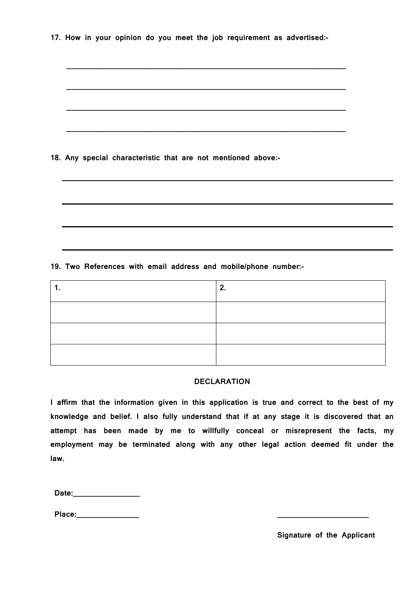|  |  |  |  |  |  |  |  |  |  | 17. How in your opinion do you meet the job requirement as advertised:- |  |  |
|--|--|--|--|--|--|--|--|--|--|-------------------------------------------------------------------------|--|--|
|--|--|--|--|--|--|--|--|--|--|-------------------------------------------------------------------------|--|--|

**\_\_\_\_\_\_\_\_\_\_\_\_\_\_\_\_\_\_\_\_\_\_\_\_\_\_\_\_\_\_\_\_\_\_\_\_\_\_\_\_\_\_\_\_\_\_\_\_\_\_\_\_\_\_\_\_\_\_\_\_\_\_\_\_\_\_\_**

| 18. Any special characteristic that are not mentioned above:-   |  |
|-----------------------------------------------------------------|--|
|                                                                 |  |
| 19. Two References with email address and mobile/phone number:- |  |

| . . | <u></u> |
|-----|---------|
|     |         |
|     |         |
|     |         |

 $\overline{\phantom{a}}$ 

### **DECLARATION**

**I affirm that the information given in this application is true and correct to the best of my knowledge and belief. I also fully understand that if at any stage it is discovered that an attempt has been made by me to willfully conceal or misrepresent the facts, my employment may be terminated along with any other legal action deemed fit under the law.**

| Date: |  |  |  |  |
|-------|--|--|--|--|
|       |  |  |  |  |

 $\blacksquare$ 

**Place:\_\_\_\_\_\_\_\_\_\_\_\_\_\_\_ \_\_\_\_\_\_\_\_\_\_\_\_\_\_\_\_\_\_\_\_\_\_**

**Signature of the Applicant**